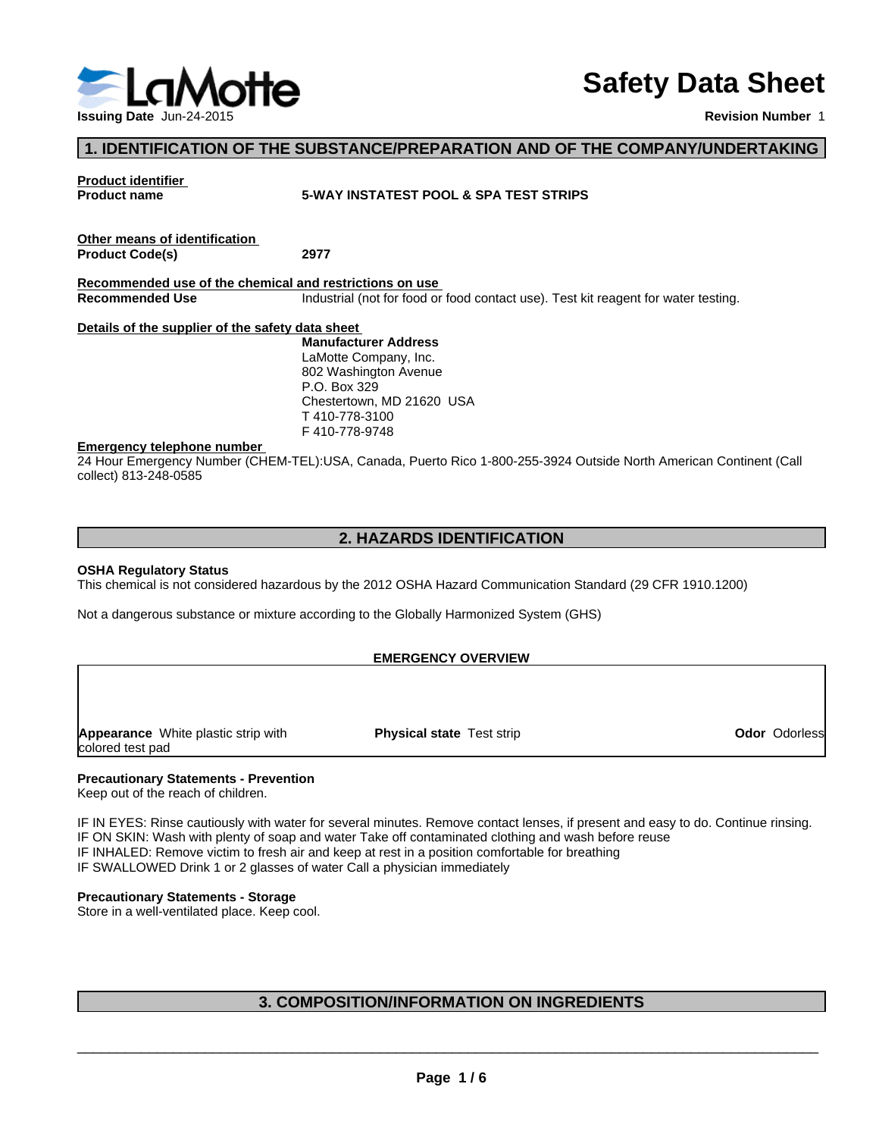

# **Safety Data Sheet**

**Revision Number** 1

## **1. IDENTIFICATION OF THE SUBSTANCE/PREPARATION AND OF THE COMPANY/UNDERTAKING**

**Product identifier** 

## **Product name 5-WAY INSTATEST POOL & SPA TEST STRIPS**

**Other means of identification Product Code(s) 2977**

**Recommended use of the chemical and restrictions on use Recommended Use** Industrial (not for food or food contact use). Test kit reagent for water testing.

#### **Details of the supplier of the safety data sheet**

**Manufacturer Address** LaMotte Company, Inc. 802 Washington Avenue P.O. Box 329 Chestertown, MD 21620 USA T 410-778-3100 F 410-778-9748

#### **Emergency telephone number**

24 Hour Emergency Number (CHEM-TEL):USA, Canada, Puerto Rico 1-800-255-3924 Outside North American Continent (Call collect) 813-248-0585

## **2. HAZARDS IDENTIFICATION**

#### **OSHA Regulatory Status**

This chemical is not considered hazardous by the 2012 OSHA Hazard Communication Standard (29 CFR 1910.1200)

Not a dangerous substance or mixture according to the Globally Harmonized System (GHS)

#### **EMERGENCY OVERVIEW**

**Appearance** White plastic strip with colored test pad

**Physical state** Test strip **CODOR Odor Odorless Odor** Odorless

# **Precautionary Statements - Prevention**

Keep out of the reach of children.

IF IN EYES: Rinse cautiously with water for several minutes. Remove contact lenses, if present and easy to do. Continue rinsing. IF ON SKIN: Wash with plenty of soap and water Take off contaminated clothing and wash before reuse IF INHALED: Remove victim to fresh air and keep at rest in a position comfortable for breathing IF SWALLOWED Drink 1 or 2 glasses of water Call a physician immediately

## **Precautionary Statements - Storage**

Store in a well-ventilated place. Keep cool.

# **3. COMPOSITION/INFORMATION ON INGREDIENTS**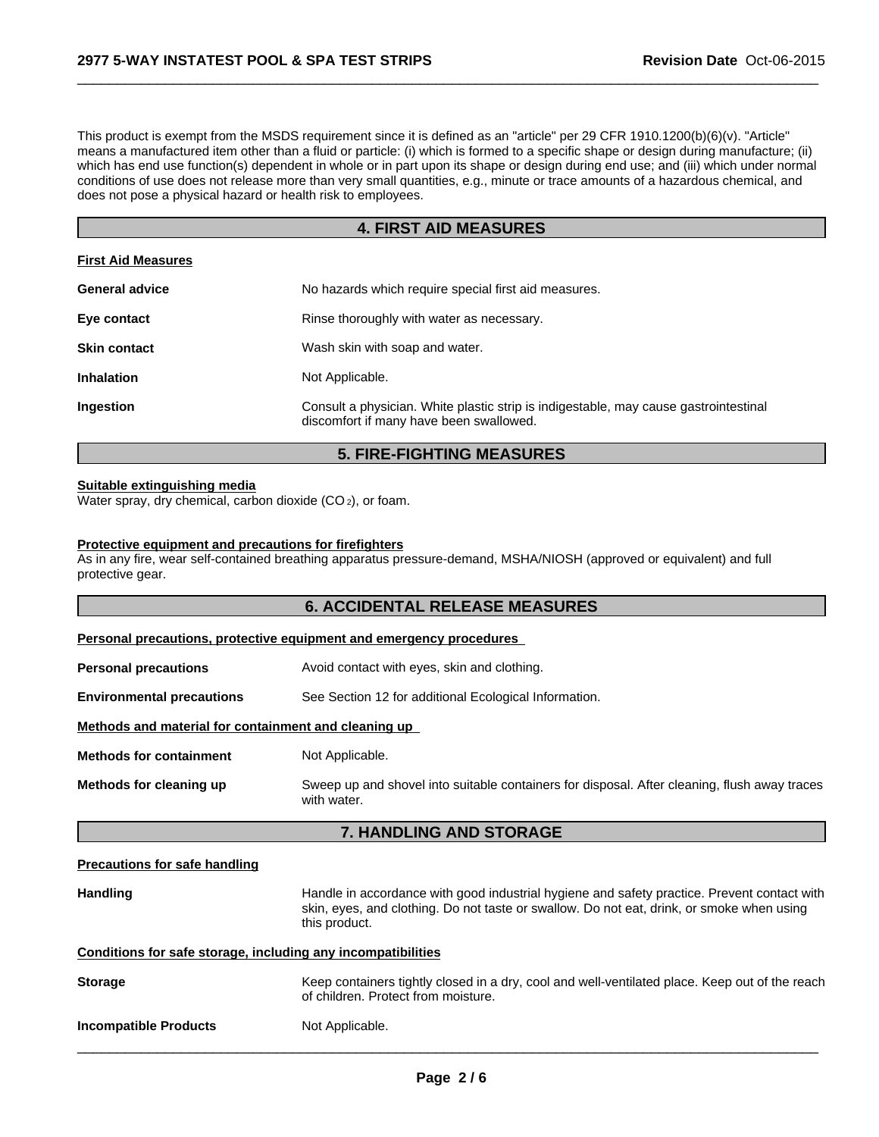This product is exempt from the MSDS requirement since it is defined as an "article" per 29 CFR 1910.1200(b)(6)(v). "Article" means a manufactured item other than a fluid or particle: (i) which is formed to a specific shape or design during manufacture; (ii) which has end use function(s) dependent in whole or in part upon its shape or design during end use; and (iii) which under normal conditions of use does not release more than very small quantities, e.g., minute or trace amounts of a hazardous chemical, and does not pose a physical hazard or health risk to employees.

 $\overline{\phantom{a}}$  ,  $\overline{\phantom{a}}$  ,  $\overline{\phantom{a}}$  ,  $\overline{\phantom{a}}$  ,  $\overline{\phantom{a}}$  ,  $\overline{\phantom{a}}$  ,  $\overline{\phantom{a}}$  ,  $\overline{\phantom{a}}$  ,  $\overline{\phantom{a}}$  ,  $\overline{\phantom{a}}$  ,  $\overline{\phantom{a}}$  ,  $\overline{\phantom{a}}$  ,  $\overline{\phantom{a}}$  ,  $\overline{\phantom{a}}$  ,  $\overline{\phantom{a}}$  ,  $\overline{\phantom{a}}$ 

# **4. FIRST AID MEASURES**

| <b>First Aid Measures</b> |                                                                                                                                 |
|---------------------------|---------------------------------------------------------------------------------------------------------------------------------|
| <b>General advice</b>     | No hazards which require special first aid measures.                                                                            |
| Eye contact               | Rinse thoroughly with water as necessary.                                                                                       |
| <b>Skin contact</b>       | Wash skin with soap and water.                                                                                                  |
| <b>Inhalation</b>         | Not Applicable.                                                                                                                 |
| <b>Ingestion</b>          | Consult a physician. White plastic strip is indigestable, may cause gastrointestinal<br>discomfort if many have been swallowed. |

# **5. FIRE-FIGHTING MEASURES**

#### **Suitable extinguishing media**

Water spray, dry chemical, carbon dioxide (CO<sub>2</sub>), or foam.

#### **Protective equipment and precautions for firefighters**

As in any fire, wear self-contained breathing apparatus pressure-demand, MSHA/NIOSH (approved or equivalent) and full protective gear.

|                                                              | <b>6. ACCIDENTAL RELEASE MEASURES</b>                                                                                                                                                                     |
|--------------------------------------------------------------|-----------------------------------------------------------------------------------------------------------------------------------------------------------------------------------------------------------|
|                                                              | Personal precautions, protective equipment and emergency procedures                                                                                                                                       |
| <b>Personal precautions</b>                                  | Avoid contact with eyes, skin and clothing.                                                                                                                                                               |
| <b>Environmental precautions</b>                             | See Section 12 for additional Ecological Information.                                                                                                                                                     |
| Methods and material for containment and cleaning up         |                                                                                                                                                                                                           |
| <b>Methods for containment</b>                               | Not Applicable.                                                                                                                                                                                           |
| Methods for cleaning up                                      | Sweep up and shovel into suitable containers for disposal. After cleaning, flush away traces<br>with water.                                                                                               |
|                                                              | 7. HANDLING AND STORAGE                                                                                                                                                                                   |
| <b>Precautions for safe handling</b>                         |                                                                                                                                                                                                           |
| <b>Handling</b>                                              | Handle in accordance with good industrial hygiene and safety practice. Prevent contact with<br>skin, eyes, and clothing. Do not taste or swallow. Do not eat, drink, or smoke when using<br>this product. |
| Conditions for safe storage, including any incompatibilities |                                                                                                                                                                                                           |
| <b>Storage</b>                                               | Keep containers tightly closed in a dry, cool and well-ventilated place. Keep out of the reach<br>of children. Protect from moisture.                                                                     |
| <b>Incompatible Products</b>                                 | Not Applicable.                                                                                                                                                                                           |
|                                                              |                                                                                                                                                                                                           |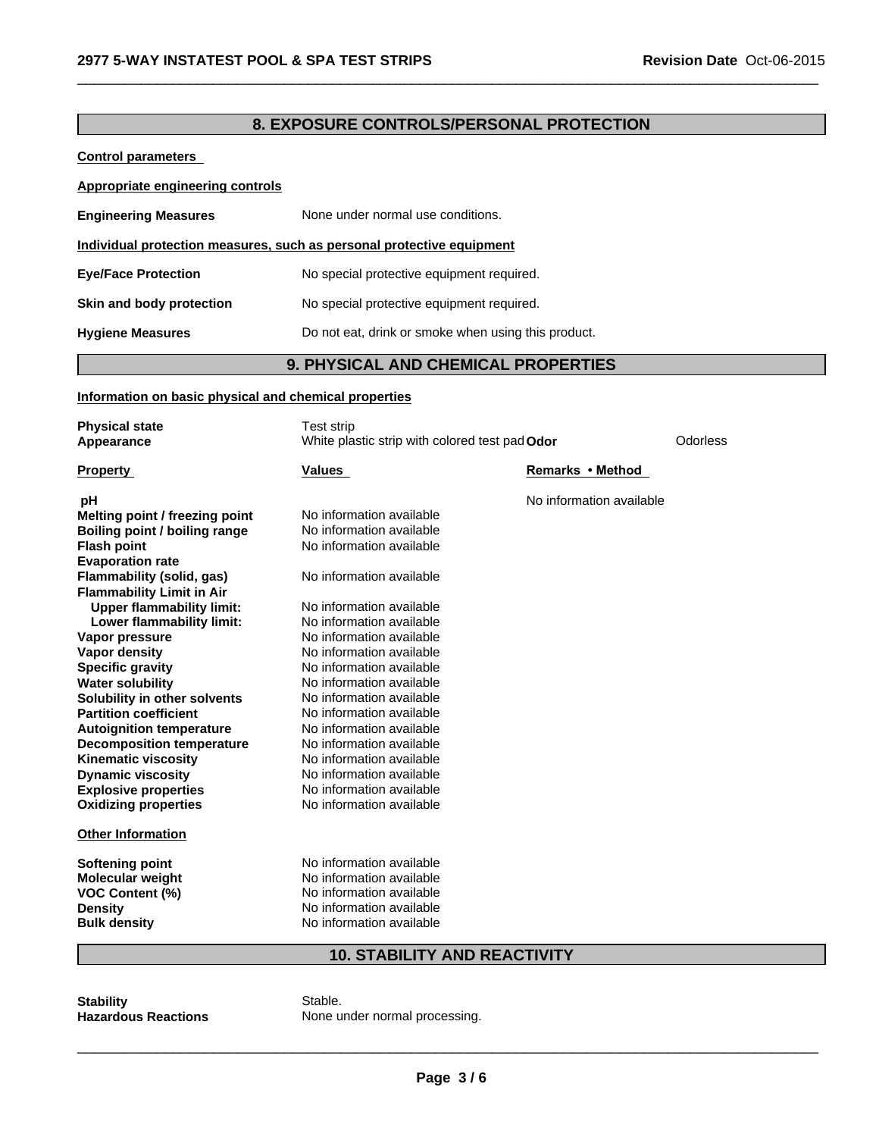# **8. EXPOSURE CONTROLS/PERSONAL PROTECTION**

 $\overline{\phantom{a}}$  ,  $\overline{\phantom{a}}$  ,  $\overline{\phantom{a}}$  ,  $\overline{\phantom{a}}$  ,  $\overline{\phantom{a}}$  ,  $\overline{\phantom{a}}$  ,  $\overline{\phantom{a}}$  ,  $\overline{\phantom{a}}$  ,  $\overline{\phantom{a}}$  ,  $\overline{\phantom{a}}$  ,  $\overline{\phantom{a}}$  ,  $\overline{\phantom{a}}$  ,  $\overline{\phantom{a}}$  ,  $\overline{\phantom{a}}$  ,  $\overline{\phantom{a}}$  ,  $\overline{\phantom{a}}$ 

**Control parameters** 

| Appropriate engineering controls                                      |                                                     |  |  |
|-----------------------------------------------------------------------|-----------------------------------------------------|--|--|
| <b>Engineering Measures</b>                                           | None under normal use conditions.                   |  |  |
| Individual protection measures, such as personal protective equipment |                                                     |  |  |
| <b>Eye/Face Protection</b>                                            | No special protective equipment required.           |  |  |
| Skin and body protection                                              | No special protective equipment required.           |  |  |
| <b>Hygiene Measures</b>                                               | Do not eat, drink or smoke when using this product. |  |  |

# **9. PHYSICAL AND CHEMICAL PROPERTIES**

#### **Information on basic physical and chemical properties**

| <b>Physical state</b>            | Test strip                                     |                          |          |
|----------------------------------|------------------------------------------------|--------------------------|----------|
| Appearance                       | White plastic strip with colored test pad Odor |                          | Odorless |
|                                  |                                                |                          |          |
| <b>Property</b>                  | <b>Values</b>                                  | Remarks • Method         |          |
|                                  |                                                |                          |          |
| рH                               |                                                | No information available |          |
| Melting point / freezing point   | No information available                       |                          |          |
| Boiling point / boiling range    | No information available                       |                          |          |
| <b>Flash point</b>               | No information available                       |                          |          |
| <b>Evaporation rate</b>          |                                                |                          |          |
| Flammability (solid, gas)        | No information available                       |                          |          |
| <b>Flammability Limit in Air</b> |                                                |                          |          |
| <b>Upper flammability limit:</b> | No information available                       |                          |          |
| Lower flammability limit:        | No information available                       |                          |          |
| Vapor pressure                   | No information available                       |                          |          |
| <b>Vapor density</b>             | No information available                       |                          |          |
| <b>Specific gravity</b>          | No information available                       |                          |          |
| <b>Water solubility</b>          | No information available                       |                          |          |
| Solubility in other solvents     | No information available                       |                          |          |
| <b>Partition coefficient</b>     | No information available                       |                          |          |
| <b>Autoignition temperature</b>  | No information available                       |                          |          |
| <b>Decomposition temperature</b> | No information available                       |                          |          |
| <b>Kinematic viscosity</b>       | No information available                       |                          |          |
| <b>Dynamic viscosity</b>         | No information available                       |                          |          |
| <b>Explosive properties</b>      | No information available                       |                          |          |
| <b>Oxidizing properties</b>      | No information available                       |                          |          |
| <b>Other Information</b>         |                                                |                          |          |
|                                  |                                                |                          |          |
| Softening point                  | No information available                       |                          |          |
| Molecular weight                 | No information available                       |                          |          |
| <b>VOC Content (%)</b>           | No information available                       |                          |          |
| <b>Density</b>                   | No information available                       |                          |          |
| <b>Bulk density</b>              | No information available                       |                          |          |
|                                  |                                                |                          |          |

## **10. STABILITY AND REACTIVITY**

**Stability** Stable.<br> **Stable.**<br> **Hazardous Reactions** 

None under normal processing.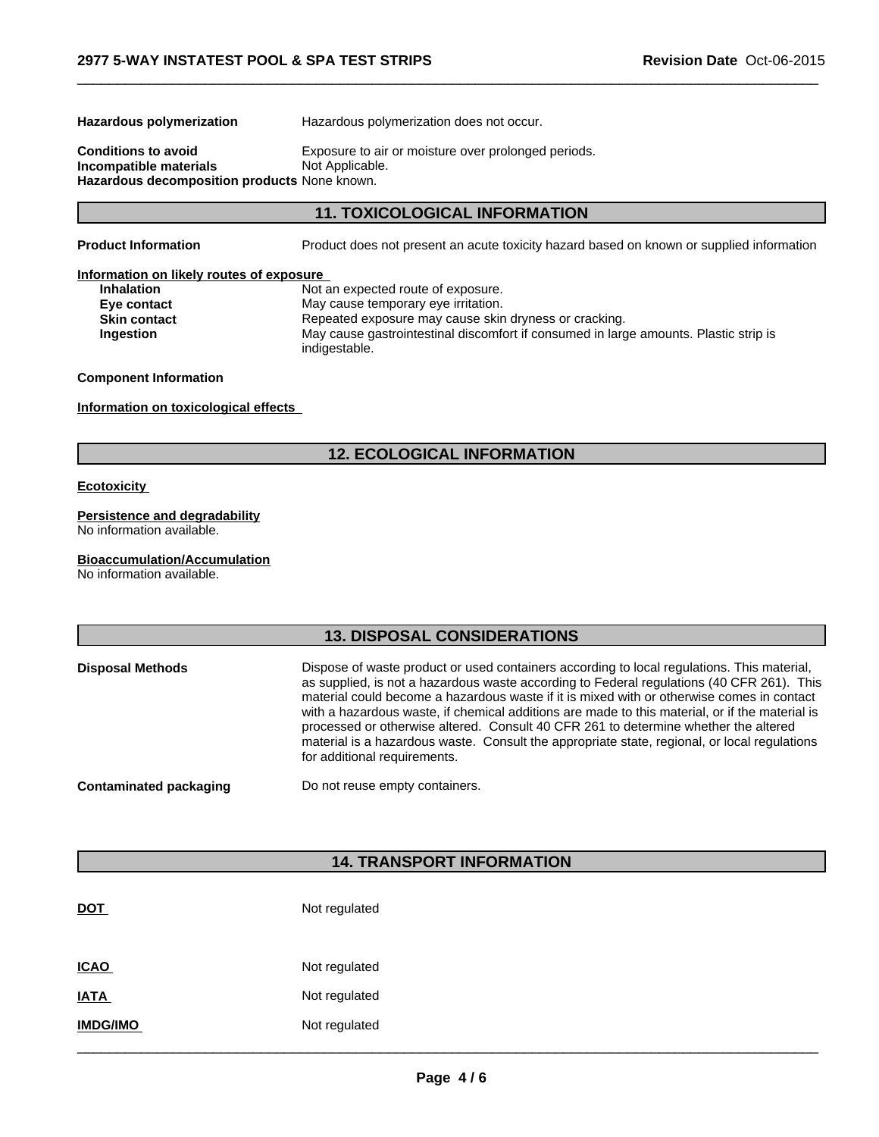**Hazardous polymerization** Hazardous polymerization does not occur.

**Incompatible materials Hazardous decomposition products** None known.

**Conditions to avoid** Exposure to air or moisture over prolonged periods.<br> **Incompatible materials** Not Applicable.

**11. TOXICOLOGICAL INFORMATION**

**Product Information** Product does not present an acute toxicity hazard based on known or supplied information

 $\overline{\phantom{a}}$  ,  $\overline{\phantom{a}}$  ,  $\overline{\phantom{a}}$  ,  $\overline{\phantom{a}}$  ,  $\overline{\phantom{a}}$  ,  $\overline{\phantom{a}}$  ,  $\overline{\phantom{a}}$  ,  $\overline{\phantom{a}}$  ,  $\overline{\phantom{a}}$  ,  $\overline{\phantom{a}}$  ,  $\overline{\phantom{a}}$  ,  $\overline{\phantom{a}}$  ,  $\overline{\phantom{a}}$  ,  $\overline{\phantom{a}}$  ,  $\overline{\phantom{a}}$  ,  $\overline{\phantom{a}}$ 

## **Information on likely routes of exposure**

**Inhalation** Not an expected route of exposure. **Eye contact** May cause temporary eye irritation.<br> **Skin contact May cause sking the Skin contact CO** Repeated exposure may cause skin **Skin contact** Repeated exposure may cause skin dryness or cracking. **Ingestion** May cause gastrointestinal discomfort if consumed in large amounts. Plastic strip is indigestable.

## **Component Information**

**Information on toxicological effects** 

# **12. ECOLOGICAL INFORMATION**

## **Ecotoxicity**

## **Persistence and degradability**

No information available.

## **Bioaccumulation/Accumulation**

No information available.

# **13. DISPOSAL CONSIDERATIONS**

| <b>Disposal Methods</b>       | Dispose of waste product or used containers according to local regulations. This material,<br>as supplied, is not a hazardous waste according to Federal regulations (40 CFR 261). This<br>material could become a hazardous waste if it is mixed with or otherwise comes in contact<br>with a hazardous waste, if chemical additions are made to this material, or if the material is<br>processed or otherwise altered. Consult 40 CFR 261 to determine whether the altered<br>material is a hazardous waste. Consult the appropriate state, regional, or local regulations<br>for additional requirements. |
|-------------------------------|---------------------------------------------------------------------------------------------------------------------------------------------------------------------------------------------------------------------------------------------------------------------------------------------------------------------------------------------------------------------------------------------------------------------------------------------------------------------------------------------------------------------------------------------------------------------------------------------------------------|
| <b>Contaminated packaging</b> | Do not reuse empty containers.                                                                                                                                                                                                                                                                                                                                                                                                                                                                                                                                                                                |

# **14. TRANSPORT INFORMATION**

| <b>DOT</b>      | Not regulated |  |
|-----------------|---------------|--|
| <b>ICAO</b>     | Not regulated |  |
| <b>IATA</b>     | Not regulated |  |
| <b>IMDG/IMO</b> | Not regulated |  |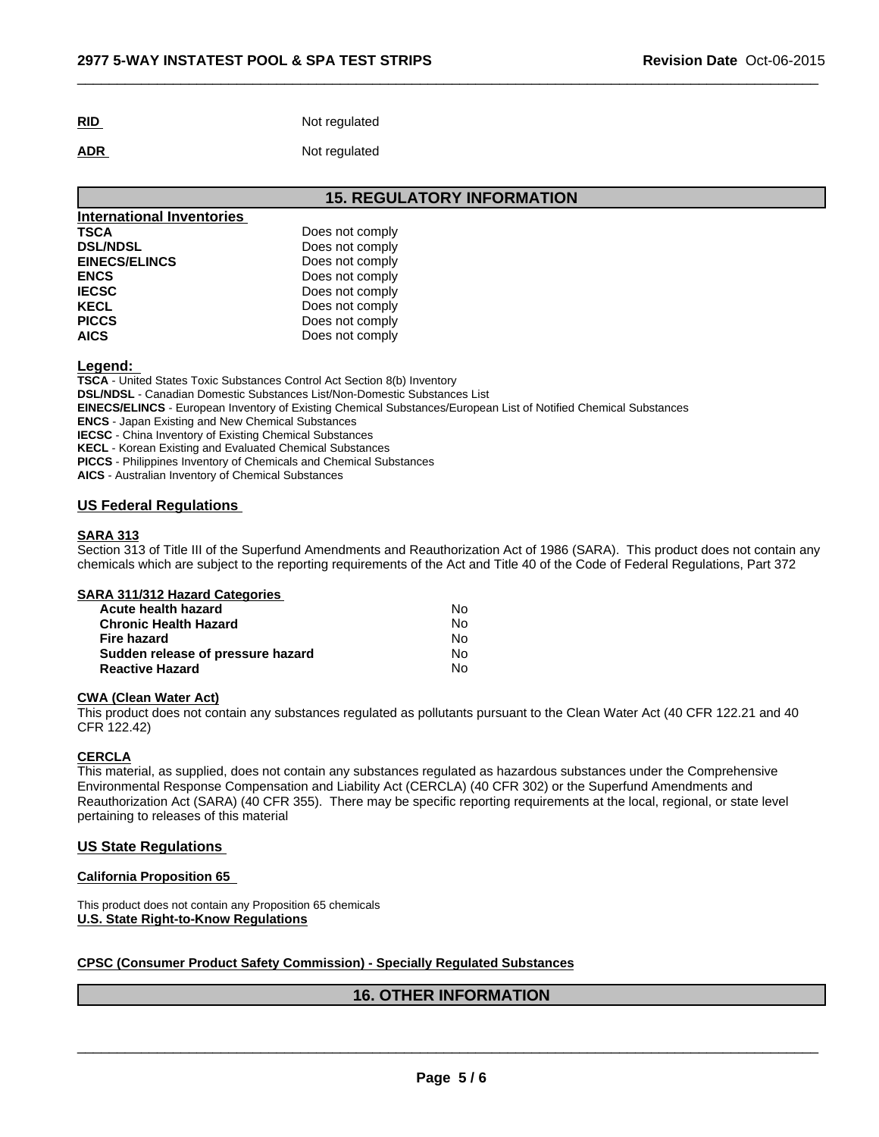| <b>RID</b><br>$ -$ | Not regulated |
|--------------------|---------------|
|                    |               |

**ADR** Not regulated

## **15. REGULATORY INFORMATION**

 $\overline{\phantom{a}}$  ,  $\overline{\phantom{a}}$  ,  $\overline{\phantom{a}}$  ,  $\overline{\phantom{a}}$  ,  $\overline{\phantom{a}}$  ,  $\overline{\phantom{a}}$  ,  $\overline{\phantom{a}}$  ,  $\overline{\phantom{a}}$  ,  $\overline{\phantom{a}}$  ,  $\overline{\phantom{a}}$  ,  $\overline{\phantom{a}}$  ,  $\overline{\phantom{a}}$  ,  $\overline{\phantom{a}}$  ,  $\overline{\phantom{a}}$  ,  $\overline{\phantom{a}}$  ,  $\overline{\phantom{a}}$ 

| <b>International Inventories</b> |                 |
|----------------------------------|-----------------|
| <b>TSCA</b>                      | Does not comply |
| <b>DSL/NDSL</b>                  | Does not comply |
| <b>EINECS/ELINCS</b>             | Does not comply |
| <b>ENCS</b>                      | Does not comply |
| <b>IECSC</b>                     | Does not comply |
| <b>KECL</b>                      | Does not comply |
| <b>PICCS</b>                     | Does not comply |
| <b>AICS</b>                      | Does not comply |

#### **Legend:**

**TSCA** - United States Toxic Substances Control Act Section 8(b) Inventory **DSL/NDSL** - Canadian Domestic Substances List/Non-Domestic Substances List **EINECS/ELINCS** - European Inventory of Existing Chemical Substances/European List of Notified Chemical Substances **ENCS** - Japan Existing and New Chemical Substances **IECSC** - China Inventory of Existing Chemical Substances **KECL** - Korean Existing and Evaluated Chemical Substances **PICCS** - Philippines Inventory of Chemicals and Chemical Substances **AICS** - Australian Inventory of Chemical Substances

## **US Federal Regulations**

#### **SARA 313**

Section 313 of Title III of the Superfund Amendments and Reauthorization Act of 1986 (SARA). This product does not contain any chemicals which are subject to the reporting requirements of the Act and Title 40 of the Code of Federal Regulations, Part 372

| <b>SARA 311/312 Hazard Categories</b> |  |
|---------------------------------------|--|
|---------------------------------------|--|

| Acute health hazard               | N٥  |  |
|-----------------------------------|-----|--|
| <b>Chronic Health Hazard</b>      | Nο  |  |
| Fire hazard                       | Nο  |  |
| Sudden release of pressure hazard | No. |  |
| <b>Reactive Hazard</b>            | Nο  |  |

## **CWA (Clean Water Act)**

This product does not contain any substances regulated as pollutants pursuant to the Clean Water Act (40 CFR 122.21 and 40 CFR 122.42)

#### **CERCLA**

This material, as supplied, does not contain any substances regulated as hazardous substances under the Comprehensive Environmental Response Compensation and Liability Act (CERCLA) (40 CFR 302) or the Superfund Amendments and Reauthorization Act (SARA) (40 CFR 355). There may be specific reporting requirements at the local, regional, or state level pertaining to releases of this material

## **US State Regulations**

## **California Proposition 65**

This product does not contain any Proposition 65 chemicals **U.S. State Right-to-Know Regulations**

## **CPSC (Consumer Product Safety Commission) - Specially Regulated Substances**

# **16. OTHER INFORMATION**